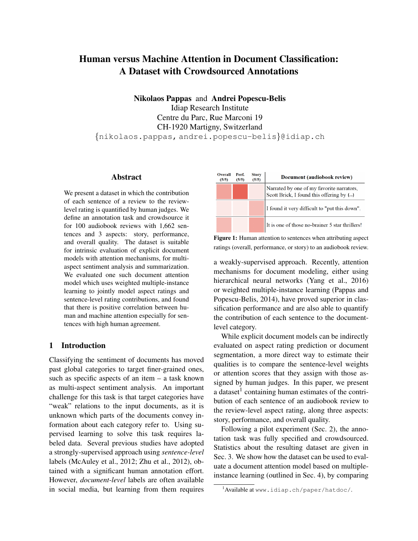# Human versus Machine Attention in Document Classification: A Dataset with Crowdsourced Annotations

Nikolaos Pappas and Andrei Popescu-Belis Idiap Research Institute Centre du Parc, Rue Marconi 19 CH-1920 Martigny, Switzerland {nikolaos.pappas, andrei.popescu-belis}@idiap.ch

# Abstract

We present a dataset in which the contribution of each sentence of a review to the reviewlevel rating is quantified by human judges. We define an annotation task and crowdsource it for 100 audiobook reviews with 1,662 sentences and 3 aspects: story, performance, and overall quality. The dataset is suitable for intrinsic evaluation of explicit document models with attention mechanisms, for multiaspect sentiment analysis and summarization. We evaluated one such document attention model which uses weighted multiple-instance learning to jointly model aspect ratings and sentence-level rating contributions, and found that there is positive correlation between human and machine attention especially for sentences with high human agreement.

# 1 Introduction

Classifying the sentiment of documents has moved past global categories to target finer-grained ones, such as specific aspects of an item – a task known as multi-aspect sentiment analysis. An important challenge for this task is that target categories have "weak" relations to the input documents, as it is unknown which parts of the documents convey information about each category refer to. Using supervised learning to solve this task requires labeled data. Several previous studies have adopted a strongly-supervised approach using *sentence-level* labels (McAuley et al., 2012; Zhu et al., 2012), obtained with a significant human annotation effort. However, *document-level* labels are often available in social media, but learning from them requires



Figure 1: Human attention to sentences when attributing aspect ratings (overall, performance, or story) to an audiobook review.

a weakly-supervised approach. Recently, attention mechanisms for document modeling, either using hierarchical neural networks (Yang et al., 2016) or weighted multiple-instance learning (Pappas and Popescu-Belis, 2014), have proved superior in classification performance and are also able to quantify the contribution of each sentence to the documentlevel category.

While explicit document models can be indirectly evaluated on aspect rating prediction or document segmentation, a more direct way to estimate their qualities is to compare the sentence-level weights or attention scores that they assign with those assigned by human judges. In this paper, we present a dataset $<sup>1</sup>$  containing human estimates of the contri-</sup> bution of each sentence of an audiobook review to the review-level aspect rating, along three aspects: story, performance, and overall quality.

Following a pilot experiment (Sec. 2), the annotation task was fully specified and crowdsourced. Statistics about the resulting dataset are given in Sec. 3. We show how the dataset can be used to evaluate a document attention model based on multipleinstance learning (outlined in Sec. 4), by comparing

<sup>1</sup>Available at www.idiap.ch/paper/hatdoc/.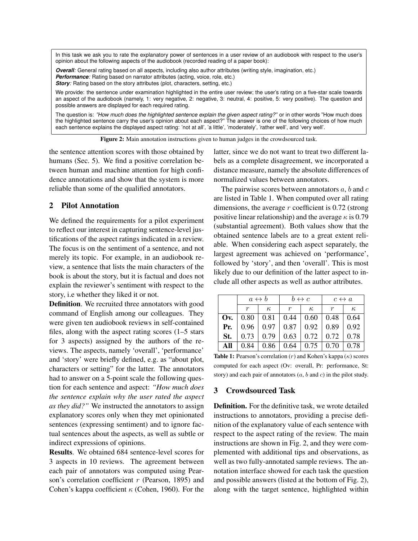In this task we ask you to rate the explanatory power of sentences in a user review of an audiobook with respect to the user's opinion about the following aspects of the audiobook (recorded reading of a paper book):

*Overall:* General rating based on all aspects, including also author attributes (writing style, imagination, etc.) *Performance:* Rating based on narrator attributes (acting, voice, role, etc.) **Story**: Rating based on the story attributes (plot, characters, setting, etc.)

We provide: the sentence under examination highlighted in the entire user review; the user's rating on a five-star scale towards an aspect of the audiobook (namely, 1: very negative, 2: negative, 3: neutral, 4: positive, 5: very positive). The question and possible answers are displayed for each required rating.

The question is: *"How much does the highlighted sentence explain the given aspect rating?"* or in other words "How much does the highlighted sentence carry the user's opinion about each aspect?" The answer is one of the following choices of how much each sentence explains the displayed aspect rating: 'not at all', 'a little', 'moderately', 'rather well', and 'very well'.

Figure 2: Main annotation instructions given to human judges in the crowdsourced task.

the sentence attention scores with those obtained by humans (Sec. 5). We find a positive correlation between human and machine attention for high confidence annotations and show that the system is more reliable than some of the qualified annotators.

# 2 Pilot Annotation

We defined the requirements for a pilot experiment to reflect our interest in capturing sentence-level justifications of the aspect ratings indicated in a review. The focus is on the sentiment of a sentence, and not merely its topic. For example, in an audiobook review, a sentence that lists the main characters of the book is about the story, but it is factual and does not explain the reviewer's sentiment with respect to the story, i.e whether they liked it or not.

Definition. We recruited three annotators with good command of English among our colleagues. They were given ten audiobook reviews in self-contained files, along with the aspect rating scores  $(1-5$  stars for 3 aspects) assigned by the authors of the reviews. The aspects, namely 'overall', 'performance' and 'story' were briefly defined, e.g. as "about plot, characters or setting" for the latter. The annotators had to answer on a 5-point scale the following question for each sentence and aspect: *"How much does the sentence explain why the user rated the aspect as they did?"* We instructed the annotators to assign explanatory scores only when they met opinionated sentences (expressing sentiment) and to ignore factual sentences about the aspects, as well as subtle or indirect expressions of opinions.

Results. We obtained 684 sentence-level scores for 3 aspects in 10 reviews. The agreement between each pair of annotators was computed using Pearson's correlation coefficient  $r$  (Pearson, 1895) and Cohen's kappa coefficient  $\kappa$  (Cohen, 1960). For the latter, since we do not want to treat two different labels as a complete disagreement, we incorporated a distance measure, namely the absolute differences of normalized values between annotators.

The pairwise scores between annotators  $a, b$  and  $c$ are listed in Table 1. When computed over all rating dimensions, the average  $r$  coefficient is 0.72 (strong positive linear relationship) and the average  $\kappa$  is 0.79 (substantial agreement). Both values show that the obtained sentence labels are to a great extent reliable. When considering each aspect separately, the largest agreement was achieved on 'performance', followed by 'story', and then 'overall'. This is most likely due to our definition of the latter aspect to include all other aspects as well as author attributes.

|     | $a \leftrightarrow b$ |          | $b \leftrightarrow c$                                                          |          | $c \leftrightarrow a$ |          |
|-----|-----------------------|----------|--------------------------------------------------------------------------------|----------|-----------------------|----------|
|     | r                     | $\kappa$ | r                                                                              | $\kappa$ | $\boldsymbol{r}$      | $\kappa$ |
|     |                       |          | <b>Ov.</b> $\vert 0.80 \vert 0.81 \vert 0.44 \vert 0.60 \vert 0.48 \vert 0.64$ |          |                       |          |
| Pr. |                       |          | $\vert 0.96 \vert 0.97 \vert 0.87 \vert 0.92 \vert 0.89 \vert 0.92$            |          |                       |          |
| St. |                       |          | $0.73 \mid 0.79 \mid 0.63 \mid 0.72 \mid 0.72 \mid 0.78$                       |          |                       |          |
| All | 0.84                  |          | $\vert 0.86 \vert 0.64 \vert 0.75 \vert 0.70 \vert 0.78$                       |          |                       |          |

**Table 1:** Pearson's correlation  $(r)$  and Kohen's kappa  $(\kappa)$  scores computed for each aspect (Ov: overall, Pr: performance, St: story) and each pair of annotators  $(a, b \text{ and } c)$  in the pilot study.

# 3 Crowdsourced Task

Definition. For the definitive task, we wrote detailed instructions to annotators, providing a precise definition of the explanatory value of each sentence with respect to the aspect rating of the review. The main instructions are shown in Fig. 2, and they were complemented with additional tips and observations, as well as two fully-annotated sample reviews. The annotation interface showed for each task the question and possible answers (listed at the bottom of Fig. 2), along with the target sentence, highlighted within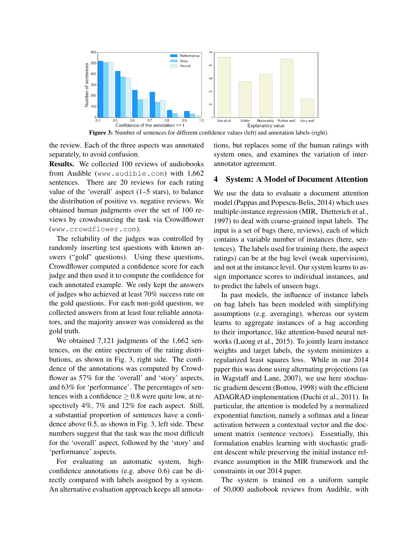

Figure 3: Number of sentences for different confidence values (left) and annotation labels (right).

the review. Each of the three aspects was annotated separately, to avoid confusion.

Results. We collected 100 reviews of audiobooks from Audible (www.audible.com) with 1,662 sentences. There are 20 reviews for each rating value of the 'overall' aspect  $(1-5 \text{ stars})$ , to balance the distribution of positive vs. negative reviews. We obtained human judgments over the set of 100 reviews by crowdsourcing the task via Crowdflower (www.crowdflower.com).

The reliability of the judges was controlled by randomly inserting test questions with known answers ("gold" questions). Using these questions, Crowdflower computed a confidence score for each judge and then used it to compute the confidence for each annotated example. We only kept the answers of judges who achieved at least 70% success rate on the gold questions. For each non-gold question, we collected answers from at least four reliable annotators, and the majority answer was considered as the gold truth.

We obtained 7,121 judgments of the 1,662 sentences, on the entire spectrum of the rating distributions, as shown in Fig. 3, right side. The confidence of the annotations was computed by Crowdflower as 57% for the 'overall' and 'story' aspects, and 63% for 'performance'. The percentages of sentences with a confidence  $\geq 0.8$  were quite low, at respectively 4%, 7% and 12% for each aspect. Still, a substantial proportion of sentences have a confidence above 0.5, as shown in Fig. 3, left side. These numbers suggest that the task was the most difficult for the 'overall' aspect, followed by the 'story' and 'performance' aspects.

For evaluating an automatic system, highconfidence annotations (e.g. above 0.6) can be directly compared with labels assigned by a system. An alternative evaluation approach keeps all annotations, but replaces some of the human ratings with system ones, and examines the variation of interannotator agreement.

#### 4 System: A Model of Document Attention

We use the data to evaluate a document attention model (Pappas and Popescu-Belis, 2014) which uses multiple-instance regression (MIR, Dietterich et al., 1997) to deal with coarse-grained input labels. The input is a set of bags (here, reviews), each of which contains a variable number of instances (here, sentences). The labels used for training (here, the aspect ratings) can be at the bag level (weak supervision), and not at the instance level. Our system learns to assign importance scores to individual instances, and to predict the labels of unseen bags.

In past models, the influence of instance labels on bag labels has been modeled with simplifying assumptions (e.g. averaging), whereas our system learns to aggregate instances of a bag according to their importance, like attention-based neural networks (Luong et al., 2015). To jointly learn instance weights and target labels, the system minimizes a regularized least squares loss. While in our 2014 paper this was done using alternating projections (as in Wagstaff and Lane, 2007), we use here stochastic gradient descent (Bottou, 1998) with the efficient ADAGRAD implementation (Duchi et al., 2011). In particular, the attention is modeled by a normalized exponential function, namely a softmax and a linear activation between a contextual vector and the document matrix (sentence vectors). Essentially, this formulation enables learning with stochastic gradient descent while preserving the initial instance relevance assumption in the MIR framework and the constraints in our 2014 paper.

The system is trained on a uniform sample of 50,000 audiobook reviews from Audible, with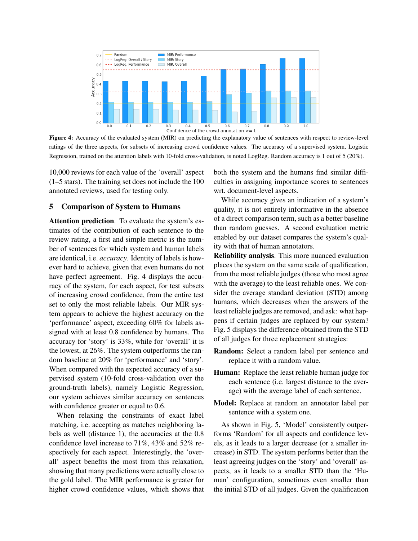

Figure 4: Accuracy of the evaluated system (MIR) on predicting the explanatory value of sentences with respect to review-level ratings of the three aspects, for subsets of increasing crowd confidence values. The accuracy of a supervised system, Logistic Regression, trained on the attention labels with 10-fold cross-validation, is noted LogReg. Random accuracy is 1 out of 5 (20%).

10,000 reviews for each value of the 'overall' aspect (1–5 stars). The training set does not include the 100 annotated reviews, used for testing only.

# 5 Comparison of System to Humans

Attention prediction. To evaluate the system's estimates of the contribution of each sentence to the review rating, a first and simple metric is the number of sentences for which system and human labels are identical, i.e. *accuracy*. Identity of labels is however hard to achieve, given that even humans do not have perfect agreement. Fig. 4 displays the accuracy of the system, for each aspect, for test subsets of increasing crowd confidence, from the entire test set to only the most reliable labels. Our MIR system appears to achieve the highest accuracy on the 'performance' aspect, exceeding 60% for labels assigned with at least 0.8 confidence by humans. The accuracy for 'story' is 33%, while for 'overall' it is the lowest, at 26%. The system outperforms the random baseline at 20% for 'performance' and 'story'. When compared with the expected accuracy of a supervised system (10-fold cross-validation over the ground-truth labels), namely Logistic Regression, our system achieves similar accuracy on sentences with confidence greater or equal to 0.6.

When relaxing the constraints of exact label matching, i.e. accepting as matches neighboring labels as well (distance 1), the accuracies at the 0.8 confidence level increase to 71%, 43% and 52% respectively for each aspect. Interestingly, the 'overall' aspect benefits the most from this relaxation, showing that many predictions were actually close to the gold label. The MIR performance is greater for higher crowd confidence values, which shows that

both the system and the humans find similar difficulties in assigning importance scores to sentences wrt. document-level aspects.

While accuracy gives an indication of a system's quality, it is not entirely informative in the absence of a direct comparison term, such as a better baseline than random guesses. A second evaluation metric enabled by our dataset compares the system's quality with that of human annotators.

Reliability analysis. This more nuanced evaluation places the system on the same scale of qualification, from the most reliable judges (those who most agree with the average) to the least reliable ones. We consider the average standard deviation (STD) among humans, which decreases when the answers of the least reliable judges are removed, and ask: what happens if certain judges are replaced by our system? Fig. 5 displays the difference obtained from the STD of all judges for three replacement strategies:

- Random: Select a random label per sentence and replace it with a random value.
- Human: Replace the least reliable human judge for each sentence (i.e. largest distance to the average) with the average label of each sentence.
- Model: Replace at random an annotator label per sentence with a system one.

As shown in Fig. 5, 'Model' consistently outperforms 'Random' for all aspects and confidence levels, as it leads to a larger decrease (or a smaller increase) in STD. The system performs better than the least agreeing judges on the 'story' and 'overall' aspects, as it leads to a smaller STD than the 'Human' configuration, sometimes even smaller than the initial STD of all judges. Given the qualification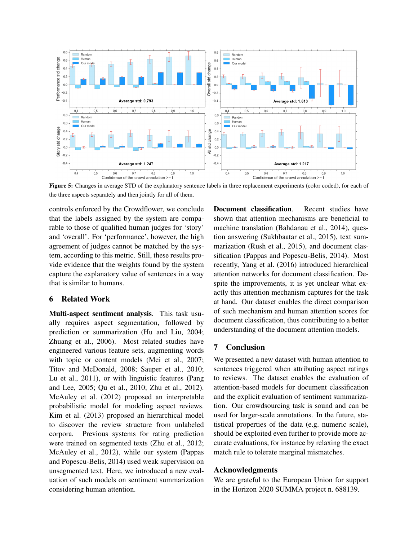

the three aspects separately and then jointly for all of them.

controls enforced by the Crowdflower, we conclude that the labels assigned by the system are comparable to those of qualified human judges for 'story' and 'overall'. For 'performance', however, the high agreement of judges cannot be matched by the system, according to this metric. Still, these results provide evidence that the weights found by the system capture the explanatory value of sentences in a way that is similar to humans.

# 6 Related Work

Multi-aspect sentiment analysis. This task usually requires aspect segmentation, followed by prediction or summarization (Hu and Liu, 2004; Zhuang et al., 2006). Most related studies have engineered various feature sets, augmenting words with topic or content models (Mei et al., 2007; Titov and McDonald, 2008; Sauper et al., 2010; Lu et al., 2011), or with linguistic features (Pang and Lee, 2005; Qu et al., 2010; Zhu et al., 2012). McAuley et al. (2012) proposed an interpretable probabilistic model for modeling aspect reviews. Kim et al. (2013) proposed an hierarchical model to discover the review structure from unlabeled corpora. Previous systems for rating prediction were trained on segmented texts (Zhu et al., 2012; McAuley et al., 2012), while our system (Pappas and Popescu-Belis, 2014) used weak supervision on unsegmented text. Here, we introduced a new evaluation of such models on sentiment summarization considering human attention.

Document classification. Recent studies have shown that attention mechanisms are beneficial to machine translation (Bahdanau et al., 2014), question answering (Sukhbaatar et al., 2015), text summarization (Rush et al., 2015), and document classification (Pappas and Popescu-Belis, 2014). Most recently, Yang et al. (2016) introduced hierarchical attention networks for document classification. Despite the improvements, it is yet unclear what exactly this attention mechanism captures for the task at hand. Our dataset enables the direct comparison of such mechanism and human attention scores for document classification, thus contributing to a better understanding of the document attention models.

## 7 Conclusion

We presented a new dataset with human attention to sentences triggered when attributing aspect ratings to reviews. The dataset enables the evaluation of attention-based models for document classification and the explicit evaluation of sentiment summarization. Our crowdsourcing task is sound and can be used for larger-scale annotations. In the future, statistical properties of the data (e.g. numeric scale), should be exploited even further to provide more accurate evaluations, for instance by relaxing the exact match rule to tolerate marginal mismatches.

#### Acknowledgments

We are grateful to the European Union for support in the Horizon 2020 SUMMA project n. 688139.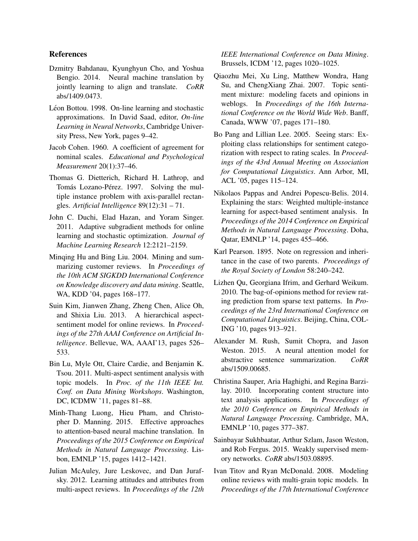## References

- Dzmitry Bahdanau, Kyunghyun Cho, and Yoshua Bengio. 2014. Neural machine translation by jointly learning to align and translate. *CoRR* abs/1409.0473.
- Léon Bottou. 1998. On-line learning and stochastic approximations. In David Saad, editor, *On-line Learning in Neural Networks*, Cambridge University Press, New York, pages 9–42.
- Jacob Cohen. 1960. A coefficient of agreement for nominal scales. *Educational and Psychological Measurement* 20(1):37–46.
- Thomas G. Dietterich, Richard H. Lathrop, and Tomás Lozano-Pérez. 1997. Solving the multiple instance problem with axis-parallel rectangles. *Artificial Intelligence* 89(12):31 – 71.
- John C. Duchi, Elad Hazan, and Yoram Singer. 2011. Adaptive subgradient methods for online learning and stochastic optimization. *Journal of Machine Learning Research* 12:2121–2159.
- Minqing Hu and Bing Liu. 2004. Mining and summarizing customer reviews. In *Proceedings of the 10th ACM SIGKDD International Conference on Knowledge discovery and data mining*. Seattle, WA, KDD '04, pages 168–177.
- Suin Kim, Jianwen Zhang, Zheng Chen, Alice Oh, and Shixia Liu. 2013. A hierarchical aspectsentiment model for online reviews. In *Proceedings of the 27th AAAI Conference on Artificial Intelligence*. Bellevue, WA, AAAI'13, pages 526– 533.
- Bin Lu, Myle Ott, Claire Cardie, and Benjamin K. Tsou. 2011. Multi-aspect sentiment analysis with topic models. In *Proc. of the 11th IEEE Int. Conf. on Data Mining Workshops*. Washington, DC, ICDMW '11, pages 81–88.
- Minh-Thang Luong, Hieu Pham, and Christopher D. Manning. 2015. Effective approaches to attention-based neural machine translation. In *Proceedings of the 2015 Conference on Empirical Methods in Natural Language Processing*. Lisbon, EMNLP '15, pages 1412–1421.
- Julian McAuley, Jure Leskovec, and Dan Jurafsky. 2012. Learning attitudes and attributes from multi-aspect reviews. In *Proceedings of the 12th*

*IEEE International Conference on Data Mining*. Brussels, ICDM '12, pages 1020–1025.

- Qiaozhu Mei, Xu Ling, Matthew Wondra, Hang Su, and ChengXiang Zhai. 2007. Topic sentiment mixture: modeling facets and opinions in weblogs. In *Proceedings of the 16th International Conference on the World Wide Web*. Banff, Canada, WWW '07, pages 171–180.
- Bo Pang and Lillian Lee. 2005. Seeing stars: Exploiting class relationships for sentiment categorization with respect to rating scales. In *Proceedings of the 43rd Annual Meeting on Association for Computational Linguistics*. Ann Arbor, MI, ACL '05, pages 115–124.
- Nikolaos Pappas and Andrei Popescu-Belis. 2014. Explaining the stars: Weighted multiple-instance learning for aspect-based sentiment analysis. In *Proceedings of the 2014 Conference on Empirical Methods in Natural Language Processing*. Doha, Qatar, EMNLP '14, pages 455–466.
- Karl Pearson. 1895. Note on regression and inheritance in the case of two parents. *Proceedings of the Royal Society of London* 58:240–242.
- Lizhen Qu, Georgiana Ifrim, and Gerhard Weikum. 2010. The bag-of-opinions method for review rating prediction from sparse text patterns. In *Proceedings of the 23rd International Conference on Computational Linguistics*. Beijing, China, COL-ING '10, pages 913–921.
- Alexander M. Rush, Sumit Chopra, and Jason Weston. 2015. A neural attention model for abstractive sentence summarization. *CoRR* abs/1509.00685.
- Christina Sauper, Aria Haghighi, and Regina Barzilay. 2010. Incorporating content structure into text analysis applications. In *Proceedings of the 2010 Conference on Empirical Methods in Natural Language Processing*. Cambridge, MA, EMNLP '10, pages 377–387.
- Sainbayar Sukhbaatar, Arthur Szlam, Jason Weston, and Rob Fergus. 2015. Weakly supervised memory networks. *CoRR* abs/1503.08895.
- Ivan Titov and Ryan McDonald. 2008. Modeling online reviews with multi-grain topic models. In *Proceedings of the 17th International Conference*